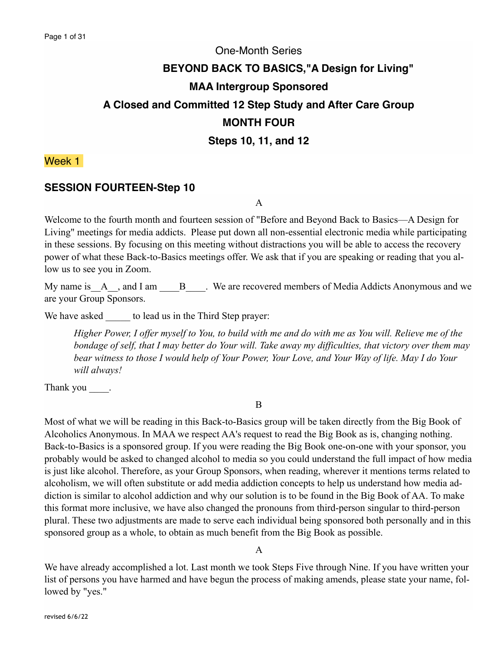# One-Month Series **! ! BEYOND BACK TO BASICS,"A Design for Living" MAA Intergroup Sponsored A Closed and Committed 12 Step Study and After Care Group MONTH FOUR Steps 10, 11, and 12**

Week 1

# **SESSION FOURTEEN-Step 10**

A

Welcome to the fourth month and fourteen session of "Before and Beyond Back to Basics—A Design for Living" meetings for media addicts. Please put down all non-essential electronic media while participating in these sessions. By focusing on this meeting without distractions you will be able to access the recovery power of what these Back-to-Basics meetings offer. We ask that if you are speaking or reading that you allow us to see you in Zoom.

My name is  $A_$ , and I am  $B_$ . We are recovered members of Media Addicts Anonymous and we are your Group Sponsors.

We have asked to lead us in the Third Step prayer:

*Higher Power, I offer myself to You, to build with me and do with me as You will. Relieve me of the bondage of self, that I may better do Your will. Take away my difficulties, that victory over them may bear witness to those I would help of Your Power, Your Love, and Your Way of life. May I do Your will always!*

Thank you \_\_\_\_\_.

B

Most of what we will be reading in this Back-to-Basics group will be taken directly from the Big Book of Alcoholics Anonymous. In MAA we respect AA's request to read the Big Book as is, changing nothing. Back-to-Basics is a sponsored group. If you were reading the Big Book one-on-one with your sponsor, you probably would be asked to changed alcohol to media so you could understand the full impact of how media is just like alcohol. Therefore, as your Group Sponsors, when reading, wherever it mentions terms related to alcoholism, we will often substitute or add media addiction concepts to help us understand how media addiction is similar to alcohol addiction and why our solution is to be found in the Big Book of AA. To make this format more inclusive, we have also changed the pronouns from third-person singular to third-person plural. These two adjustments are made to serve each individual being sponsored both personally and in this sponsored group as a whole, to obtain as much benefit from the Big Book as possible.

A

We have already accomplished a lot. Last month we took Steps Five through Nine. If you have written your list of persons you have harmed and have begun the process of making amends, please state your name, followed by "yes."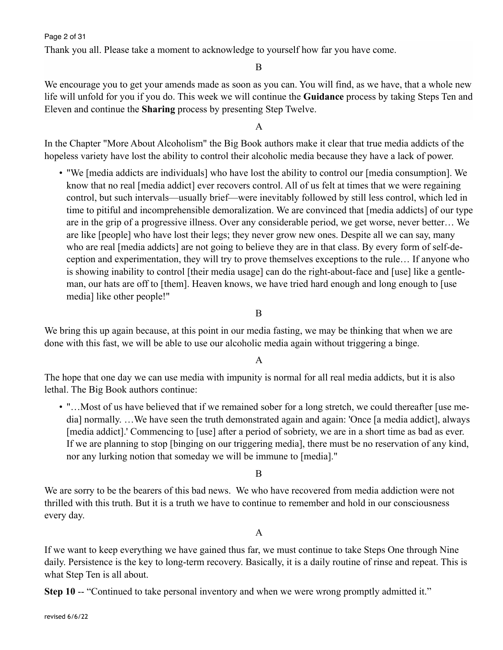Page 2 of 31

Thank you all. Please take a moment to acknowledge to yourself how far you have come.

B

We encourage you to get your amends made as soon as you can. You will find, as we have, that a whole new life will unfold for you if you do. This week we will continue the **Guidance** process by taking Steps Ten and Eleven and continue the **Sharing** process by presenting Step Twelve.

A

In the Chapter "More About Alcoholism" the Big Book authors make it clear that true media addicts of the hopeless variety have lost the ability to control their alcoholic media because they have a lack of power.

• "We [media addicts are individuals] who have lost the ability to control our [media consumption]. We know that no real [media addict] ever recovers control. All of us felt at times that we were regaining control, but such intervals—usually brief—were inevitably followed by still less control, which led in time to pitiful and incomprehensible demoralization. We are convinced that [media addicts] of our type are in the grip of a progressive illness. Over any considerable period, we get worse, never better… We are like [people] who have lost their legs; they never grow new ones. Despite all we can say, many who are real [media addicts] are not going to believe they are in that class. By every form of self-deception and experimentation, they will try to prove themselves exceptions to the rule… If anyone who is showing inability to control [their media usage] can do the right-about-face and [use] like a gentleman, our hats are off to [them]. Heaven knows, we have tried hard enough and long enough to [use media] like other people!"

B

We bring this up again because, at this point in our media fasting, we may be thinking that when we are done with this fast, we will be able to use our alcoholic media again without triggering a binge.

# A

The hope that one day we can use media with impunity is normal for all real media addicts, but it is also lethal. The Big Book authors continue:

• "…Most of us have believed that if we remained sober for a long stretch, we could thereafter [use media] normally. …We have seen the truth demonstrated again and again: 'Once [a media addict], always [media addict].' Commencing to [use] after a period of sobriety, we are in a short time as bad as ever. If we are planning to stop [binging on our triggering media], there must be no reservation of any kind, nor any lurking notion that someday we will be immune to [media]."

B

We are sorry to be the bearers of this bad news. We who have recovered from media addiction were not thrilled with this truth. But it is a truth we have to continue to remember and hold in our consciousness every day.

A

If we want to keep everything we have gained thus far, we must continue to take Steps One through Nine daily. Persistence is the key to long-term recovery. Basically, it is a daily routine of rinse and repeat. This is what Step Ten is all about.

**Step 10** -- "Continued to take personal inventory and when we were wrong promptly admitted it."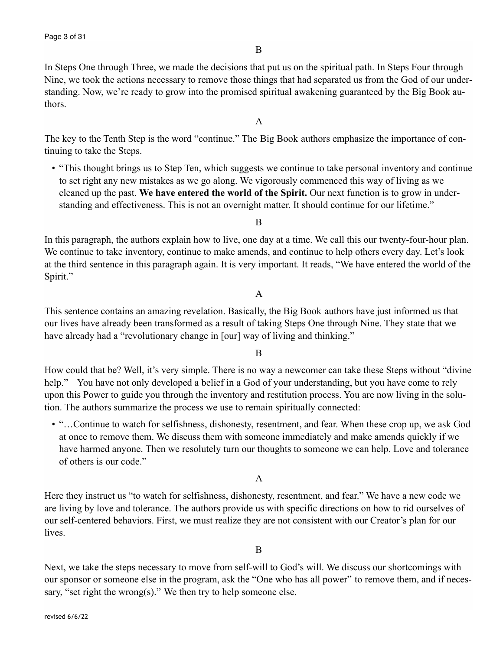In Steps One through Three, we made the decisions that put us on the spiritual path. In Steps Four through Nine, we took the actions necessary to remove those things that had separated us from the God of our understanding. Now, we're ready to grow into the promised spiritual awakening guaranteed by the Big Book authors.

A

The key to the Tenth Step is the word "continue." The Big Book authors emphasize the importance of continuing to take the Steps.

• "This thought brings us to Step Ten, which suggests we continue to take personal inventory and continue to set right any new mistakes as we go along. We vigorously commenced this way of living as we cleaned up the past. **We have entered the world of the Spirit.** Our next function is to grow in understanding and effectiveness. This is not an overnight matter. It should continue for our lifetime."

B

In this paragraph, the authors explain how to live, one day at a time. We call this our twenty-four-hour plan. We continue to take inventory, continue to make amends, and continue to help others every day. Let's look at the third sentence in this paragraph again. It is very important. It reads, "We have entered the world of the Spirit."

## A

This sentence contains an amazing revelation. Basically, the Big Book authors have just informed us that our lives have already been transformed as a result of taking Steps One through Nine. They state that we have already had a "revolutionary change in [our] way of living and thinking."

# B

How could that be? Well, it's very simple. There is no way a newcomer can take these Steps without "divine help." You have not only developed a belief in a God of your understanding, but you have come to rely upon this Power to guide you through the inventory and restitution process. You are now living in the solution. The authors summarize the process we use to remain spiritually connected:

• "…Continue to watch for selfishness, dishonesty, resentment, and fear. When these crop up, we ask God at once to remove them. We discuss them with someone immediately and make amends quickly if we have harmed anyone. Then we resolutely turn our thoughts to someone we can help. Love and tolerance of others is our code."

# A

Here they instruct us "to watch for selfishness, dishonesty, resentment, and fear." We have a new code we are living by love and tolerance. The authors provide us with specific directions on how to rid ourselves of our self-centered behaviors. First, we must realize they are not consistent with our Creator's plan for our lives.

B

Next, we take the steps necessary to move from self-will to God's will. We discuss our shortcomings with our sponsor or someone else in the program, ask the "One who has all power" to remove them, and if necessary, "set right the wrong(s)." We then try to help someone else.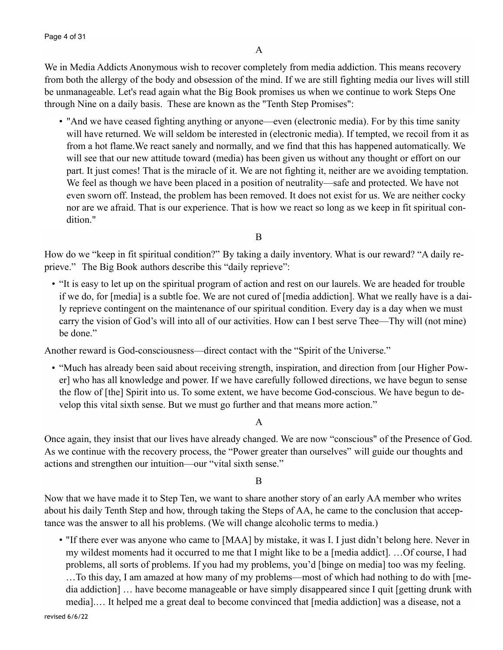We in Media Addicts Anonymous wish to recover completely from media addiction. This means recovery from both the allergy of the body and obsession of the mind. If we are still fighting media our lives will still be unmanageable. Let's read again what the Big Book promises us when we continue to work Steps One through Nine on a daily basis. These are known as the "Tenth Step Promises":

• "And we have ceased fighting anything or anyone—even (electronic media). For by this time sanity will have returned. We will seldom be interested in (electronic media). If tempted, we recoil from it as from a hot flame.We react sanely and normally, and we find that this has happened automatically. We will see that our new attitude toward (media) has been given us without any thought or effort on our part. It just comes! That is the miracle of it. We are not fighting it, neither are we avoiding temptation. We feel as though we have been placed in a position of neutrality—safe and protected. We have not even sworn off. Instead, the problem has been removed. It does not exist for us. We are neither cocky nor are we afraid. That is our experience. That is how we react so long as we keep in fit spiritual condition."

B

How do we "keep in fit spiritual condition?" By taking a daily inventory. What is our reward? "A daily reprieve." The Big Book authors describe this "daily reprieve":

• "It is easy to let up on the spiritual program of action and rest on our laurels. We are headed for trouble if we do, for [media] is a subtle foe. We are not cured of [media addiction]. What we really have is a daily reprieve contingent on the maintenance of our spiritual condition. Every day is a day when we must carry the vision of God's will into all of our activities. How can I best serve Thee—Thy will (not mine) be done."

Another reward is God-consciousness—direct contact with the "Spirit of the Universe."

• "Much has already been said about receiving strength, inspiration, and direction from [our Higher Power] who has all knowledge and power. If we have carefully followed directions, we have begun to sense the flow of [the] Spirit into us. To some extent, we have become God-conscious. We have begun to develop this vital sixth sense. But we must go further and that means more action."

# A

Once again, they insist that our lives have already changed. We are now "conscious" of the Presence of God. As we continue with the recovery process, the "Power greater than ourselves" will guide our thoughts and actions and strengthen our intuition—our "vital sixth sense."

# B

Now that we have made it to Step Ten, we want to share another story of an early AA member who writes about his daily Tenth Step and how, through taking the Steps of AA, he came to the conclusion that acceptance was the answer to all his problems. (We will change alcoholic terms to media.)

• "If there ever was anyone who came to [MAA] by mistake, it was I. I just didn't belong here. Never in my wildest moments had it occurred to me that I might like to be a [media addict]. …Of course, I had problems, all sorts of problems. If you had my problems, you'd [binge on media] too was my feeling. …To this day, I am amazed at how many of my problems—most of which had nothing to do with [media addiction] … have become manageable or have simply disappeared since I quit [getting drunk with media].… It helped me a great deal to become convinced that [media addiction] was a disease, not a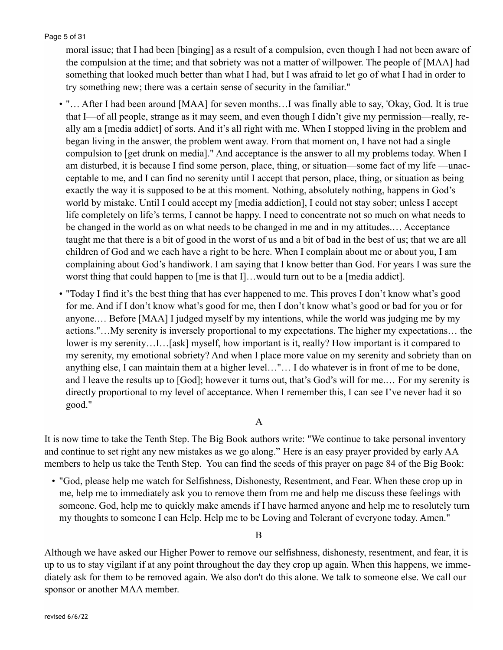#### Page 5 of 31

moral issue; that I had been [binging] as a result of a compulsion, even though I had not been aware of the compulsion at the time; and that sobriety was not a matter of willpower. The people of [MAA] had something that looked much better than what I had, but I was afraid to let go of what I had in order to try something new; there was a certain sense of security in the familiar."

- "… After I had been around [MAA] for seven months…I was finally able to say, 'Okay, God. It is true that I—of all people, strange as it may seem, and even though I didn't give my permission—really, really am a [media addict] of sorts. And it's all right with me. When I stopped living in the problem and began living in the answer, the problem went away. From that moment on, I have not had a single compulsion to [get drunk on media]." And acceptance is the answer to all my problems today. When I am disturbed, it is because I find some person, place, thing, or situation—some fact of my life —unacceptable to me, and I can find no serenity until I accept that person, place, thing, or situation as being exactly the way it is supposed to be at this moment. Nothing, absolutely nothing, happens in God's world by mistake. Until I could accept my [media addiction], I could not stay sober; unless I accept life completely on life's terms, I cannot be happy. I need to concentrate not so much on what needs to be changed in the world as on what needs to be changed in me and in my attitudes.… Acceptance taught me that there is a bit of good in the worst of us and a bit of bad in the best of us; that we are all children of God and we each have a right to be here. When I complain about me or about you, I am complaining about God's handiwork. I am saying that I know better than God. For years I was sure the worst thing that could happen to [me is that I]…would turn out to be a [media addict].
- "Today I find it's the best thing that has ever happened to me. This proves I don't know what's good for me. And if I don't know what's good for me, then I don't know what's good or bad for you or for anyone.… Before [MAA] I judged myself by my intentions, while the world was judging me by my actions."…My serenity is inversely proportional to my expectations. The higher my expectations… the lower is my serenity…I…[ask] myself, how important is it, really? How important is it compared to my serenity, my emotional sobriety? And when I place more value on my serenity and sobriety than on anything else, I can maintain them at a higher level…"… I do whatever is in front of me to be done, and I leave the results up to [God]; however it turns out, that's God's will for me.… For my serenity is directly proportional to my level of acceptance. When I remember this, I can see I've never had it so good."

#### A

It is now time to take the Tenth Step. The Big Book authors write: "We continue to take personal inventory and continue to set right any new mistakes as we go along." Here is an easy prayer provided by early AA members to help us take the Tenth Step. You can find the seeds of this prayer on page 84 of the Big Book:

• "God, please help me watch for Selfishness, Dishonesty, Resentment, and Fear. When these crop up in me, help me to immediately ask you to remove them from me and help me discuss these feelings with someone. God, help me to quickly make amends if I have harmed anyone and help me to resolutely turn my thoughts to someone I can Help. Help me to be Loving and Tolerant of everyone today. Amen."

B

Although we have asked our Higher Power to remove our selfishness, dishonesty, resentment, and fear, it is up to us to stay vigilant if at any point throughout the day they crop up again. When this happens, we immediately ask for them to be removed again. We also don't do this alone. We talk to someone else. We call our sponsor or another MAA member.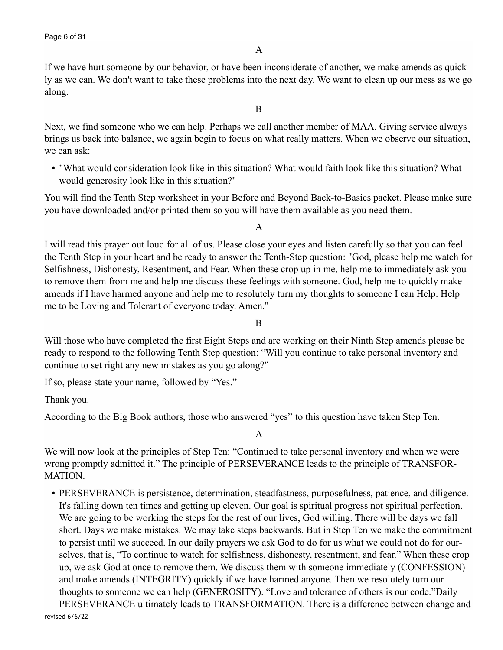If we have hurt someone by our behavior, or have been inconsiderate of another, we make amends as quickly as we can. We don't want to take these problems into the next day. We want to clean up our mess as we go along.

B

Next, we find someone who we can help. Perhaps we call another member of MAA. Giving service always brings us back into balance, we again begin to focus on what really matters. When we observe our situation, we can ask:

• "What would consideration look like in this situation? What would faith look like this situation? What would generosity look like in this situation?"

You will find the Tenth Step worksheet in your Before and Beyond Back-to-Basics packet. Please make sure you have downloaded and/or printed them so you will have them available as you need them.

A

I will read this prayer out loud for all of us. Please close your eyes and listen carefully so that you can feel the Tenth Step in your heart and be ready to answer the Tenth-Step question: "God, please help me watch for Selfishness, Dishonesty, Resentment, and Fear. When these crop up in me, help me to immediately ask you to remove them from me and help me discuss these feelings with someone. God, help me to quickly make amends if I have harmed anyone and help me to resolutely turn my thoughts to someone I can Help. Help me to be Loving and Tolerant of everyone today. Amen."

B

Will those who have completed the first Eight Steps and are working on their Ninth Step amends please be ready to respond to the following Tenth Step question: "Will you continue to take personal inventory and continue to set right any new mistakes as you go along?"

If so, please state your name, followed by "Yes."

Thank you.

According to the Big Book authors, those who answered "yes" to this question have taken Step Ten.

A

We will now look at the principles of Step Ten: "Continued to take personal inventory and when we were wrong promptly admitted it." The principle of PERSEVERANCE leads to the principle of TRANSFOR-MATION.

• PERSEVERANCE is persistence, determination, steadfastness, purposefulness, patience, and diligence. It's falling down ten times and getting up eleven. Our goal is spiritual progress not spiritual perfection. We are going to be working the steps for the rest of our lives, God willing. There will be days we fall short. Days we make mistakes. We may take steps backwards. But in Step Ten we make the commitment to persist until we succeed. In our daily prayers we ask God to do for us what we could not do for ourselves, that is, "To continue to watch for selfishness, dishonesty, resentment, and fear." When these crop up, we ask God at once to remove them. We discuss them with someone immediately (CONFESSION) and make amends (INTEGRITY) quickly if we have harmed anyone. Then we resolutely turn our thoughts to someone we can help (GENEROSITY). "Love and tolerance of others is our code."Daily PERSEVERANCE ultimately leads to TRANSFORMATION. There is a difference between change and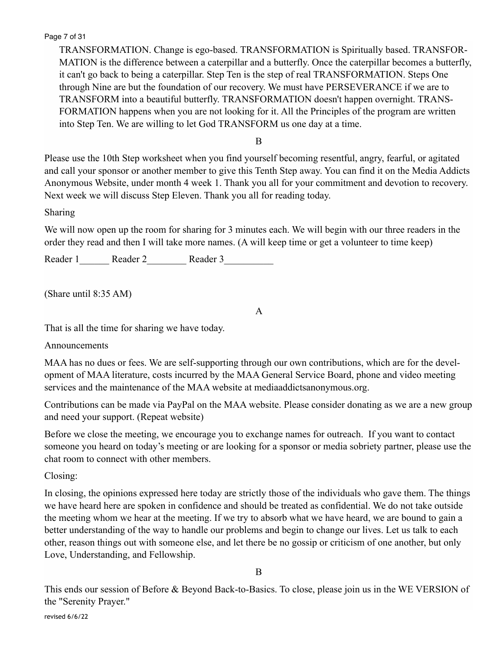Page 7 of 31

TRANSFORMATION. Change is ego-based. TRANSFORMATION is Spiritually based. TRANSFOR-MATION is the difference between a caterpillar and a butterfly. Once the caterpillar becomes a butterfly, it can't go back to being a caterpillar. Step Ten is the step of real TRANSFORMATION. Steps One through Nine are but the foundation of our recovery. We must have PERSEVERANCE if we are to TRANSFORM into a beautiful butterfly. TRANSFORMATION doesn't happen overnight. TRANS-FORMATION happens when you are not looking for it. All the Principles of the program are written into Step Ten. We are willing to let God TRANSFORM us one day at a time.

B

Please use the 10th Step worksheet when you find yourself becoming resentful, angry, fearful, or agitated and call your sponsor or another member to give this Tenth Step away. You can find it on the Media Addicts Anonymous Website, under month 4 week 1. Thank you all for your commitment and devotion to recovery. Next week we will discuss Step Eleven. Thank you all for reading today.

Sharing

We will now open up the room for sharing for 3 minutes each. We will begin with our three readers in the order they read and then I will take more names. (A will keep time or get a volunteer to time keep)

Reader 1\_\_\_\_\_\_\_ Reader 2\_\_\_\_\_\_\_\_\_ Reader 3\_\_\_\_\_\_\_\_\_

(Share until 8:35 AM)

A

That is all the time for sharing we have today.

Announcements

MAA has no dues or fees. We are self-supporting through our own contributions, which are for the development of MAA literature, costs incurred by the MAA General Service Board, phone and video meeting services and the maintenance of the MAA website at mediaaddictsanonymous.org.

Contributions can be made via PayPal on the MAA website. Please consider donating as we are a new group and need your support. (Repeat website)

Before we close the meeting, we encourage you to exchange names for outreach. If you want to contact someone you heard on today's meeting or are looking for a sponsor or media sobriety partner, please use the chat room to connect with other members.

Closing:

In closing, the opinions expressed here today are strictly those of the individuals who gave them. The things we have heard here are spoken in confidence and should be treated as confidential. We do not take outside the meeting whom we hear at the meeting. If we try to absorb what we have heard, we are bound to gain a better understanding of the way to handle our problems and begin to change our lives. Let us talk to each other, reason things out with someone else, and let there be no gossip or criticism of one another, but only Love, Understanding, and Fellowship.

B

This ends our session of Before & Beyond Back-to-Basics. To close, please join us in the WE VERSION of the "Serenity Prayer."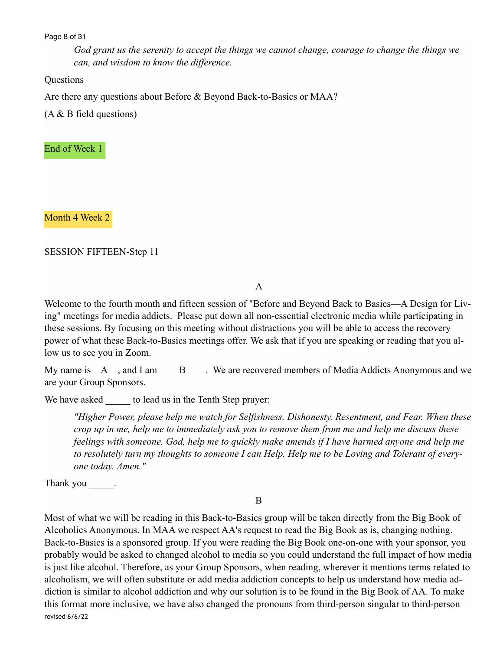Page 8 of 31

*God grant us the serenity to accept the things we cannot change, courage to change the things we can, and wisdom to know the difference.* 

Questions

Are there any questions about Before & Beyond Back-to-Basics or MAA?

(A & B field questions)

End of Week 1

Month 4 Week 2

# SESSION FIFTEEN-Step 11

A

Welcome to the fourth month and fifteen session of "Before and Beyond Back to Basics—A Design for Living" meetings for media addicts. Please put down all non-essential electronic media while participating in these sessions. By focusing on this meeting without distractions you will be able to access the recovery power of what these Back-to-Basics meetings offer. We ask that if you are speaking or reading that you allow us to see you in Zoom.

My name is A  $\,$ , and I am  $\,$  B  $\,$  . We are recovered members of Media Addicts Anonymous and we are your Group Sponsors.

We have asked to lead us in the Tenth Step prayer:

*"Higher Power, please help me watch for Selfishness, Dishonesty, Resentment, and Fear. When these crop up in me, help me to immediately ask you to remove them from me and help me discuss these feelings with someone. God, help me to quickly make amends if I have harmed anyone and help me to resolutely turn my thoughts to someone I can Help. Help me to be Loving and Tolerant of everyone today. Amen."* 

Thank you \_\_\_\_\_\_.

B

Most of what we will be reading in this Back-to-Basics group will be taken directly from the Big Book of Alcoholics Anonymous. In MAA we respect AA's request to read the Big Book as is, changing nothing. Back-to-Basics is a sponsored group. If you were reading the Big Book one-on-one with your sponsor, you probably would be asked to changed alcohol to media so you could understand the full impact of how media is just like alcohol. Therefore, as your Group Sponsors, when reading, wherever it mentions terms related to alcoholism, we will often substitute or add media addiction concepts to help us understand how media addiction is similar to alcohol addiction and why our solution is to be found in the Big Book of AA. To make this format more inclusive, we have also changed the pronouns from third-person singular to third-person revised 6/6/22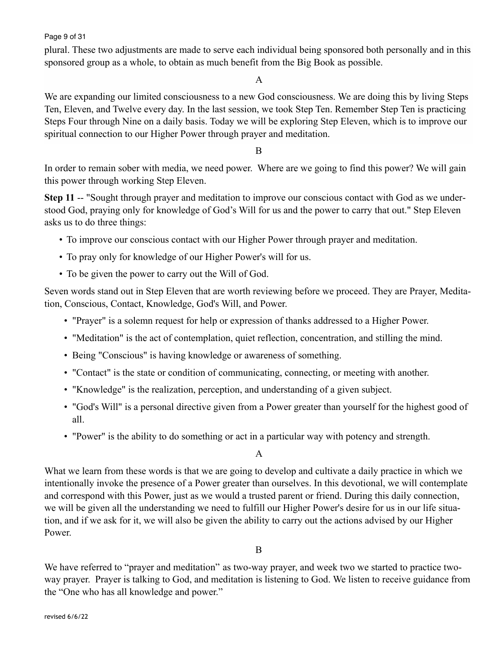Page 9 of 31

plural. These two adjustments are made to serve each individual being sponsored both personally and in this sponsored group as a whole, to obtain as much benefit from the Big Book as possible.

A

We are expanding our limited consciousness to a new God consciousness. We are doing this by living Steps Ten, Eleven, and Twelve every day. In the last session, we took Step Ten. Remember Step Ten is practicing Steps Four through Nine on a daily basis. Today we will be exploring Step Eleven, which is to improve our spiritual connection to our Higher Power through prayer and meditation.

 $\mathbf B$ 

In order to remain sober with media, we need power. Where are we going to find this power? We will gain this power through working Step Eleven.

**Step 11** -- "Sought through prayer and meditation to improve our conscious contact with God as we understood God, praying only for knowledge of God's Will for us and the power to carry that out." Step Eleven asks us to do three things:

- To improve our conscious contact with our Higher Power through prayer and meditation.
- To pray only for knowledge of our Higher Power's will for us.
- To be given the power to carry out the Will of God.

Seven words stand out in Step Eleven that are worth reviewing before we proceed. They are Prayer, Meditation, Conscious, Contact, Knowledge, God's Will, and Power.

- "Prayer" is a solemn request for help or expression of thanks addressed to a Higher Power.
- "Meditation" is the act of contemplation, quiet reflection, concentration, and stilling the mind.
- Being "Conscious" is having knowledge or awareness of something.
- "Contact" is the state or condition of communicating, connecting, or meeting with another.
- "Knowledge" is the realization, perception, and understanding of a given subject.
- "God's Will" is a personal directive given from a Power greater than yourself for the highest good of all.
- "Power" is the ability to do something or act in a particular way with potency and strength.

A

What we learn from these words is that we are going to develop and cultivate a daily practice in which we intentionally invoke the presence of a Power greater than ourselves. In this devotional, we will contemplate and correspond with this Power, just as we would a trusted parent or friend. During this daily connection, we will be given all the understanding we need to fulfill our Higher Power's desire for us in our life situation, and if we ask for it, we will also be given the ability to carry out the actions advised by our Higher Power.

B

We have referred to "prayer and meditation" as two-way prayer, and week two we started to practice twoway prayer. Prayer is talking to God, and meditation is listening to God. We listen to receive guidance from the "One who has all knowledge and power."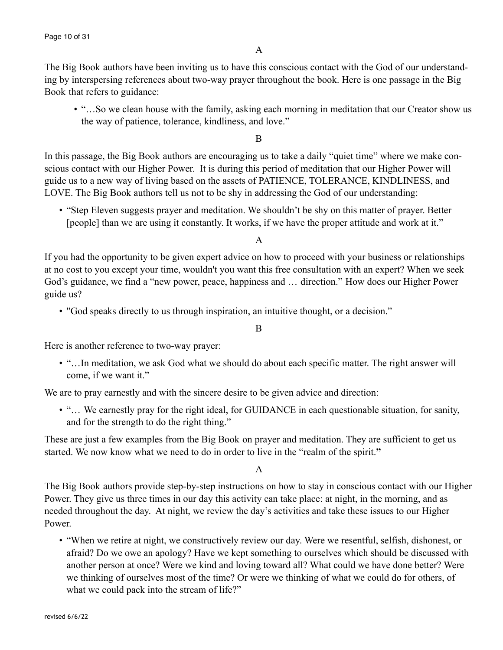The Big Book authors have been inviting us to have this conscious contact with the God of our understanding by interspersing references about two-way prayer throughout the book. Here is one passage in the Big Book that refers to guidance:

• "…So we clean house with the family, asking each morning in meditation that our Creator show us the way of patience, tolerance, kindliness, and love."

B

In this passage, the Big Book authors are encouraging us to take a daily "quiet time" where we make conscious contact with our Higher Power. It is during this period of meditation that our Higher Power will guide us to a new way of living based on the assets of PATIENCE, TOLERANCE, KINDLINESS, and LOVE. The Big Book authors tell us not to be shy in addressing the God of our understanding:

• "Step Eleven suggests prayer and meditation. We shouldn't be shy on this matter of prayer. Better [people] than we are using it constantly. It works, if we have the proper attitude and work at it."

## A

If you had the opportunity to be given expert advice on how to proceed with your business or relationships at no cost to you except your time, wouldn't you want this free consultation with an expert? When we seek God's guidance, we find a "new power, peace, happiness and … direction." How does our Higher Power guide us?

• "God speaks directly to us through inspiration, an intuitive thought, or a decision."

B

Here is another reference to two-way prayer:

• "…In meditation, we ask God what we should do about each specific matter. The right answer will come, if we want it."

We are to pray earnestly and with the sincere desire to be given advice and direction:

• "… We earnestly pray for the right ideal, for GUIDANCE in each questionable situation, for sanity, and for the strength to do the right thing."

These are just a few examples from the Big Book on prayer and meditation. They are sufficient to get us started. We now know what we need to do in order to live in the "realm of the spirit.**"**

A

The Big Book authors provide step-by-step instructions on how to stay in conscious contact with our Higher Power. They give us three times in our day this activity can take place: at night, in the morning, and as needed throughout the day. At night, we review the day's activities and take these issues to our Higher Power.

• "When we retire at night, we constructively review our day. Were we resentful, selfish, dishonest, or afraid? Do we owe an apology? Have we kept something to ourselves which should be discussed with another person at once? Were we kind and loving toward all? What could we have done better? Were we thinking of ourselves most of the time? Or were we thinking of what we could do for others, of what we could pack into the stream of life?"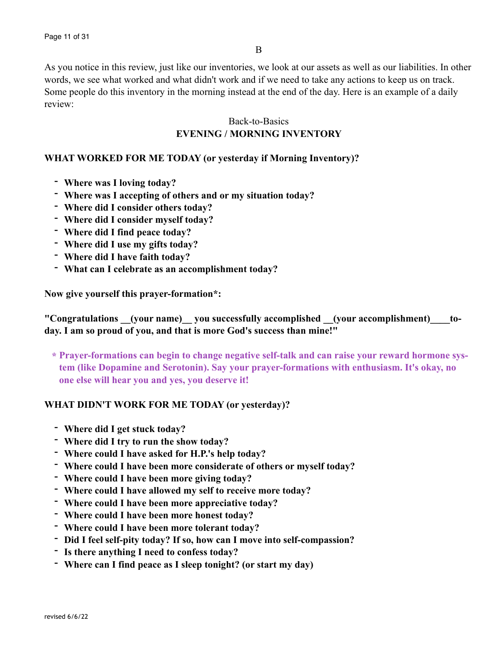As you notice in this review, just like our inventories, we look at our assets as well as our liabilities. In other words, we see what worked and what didn't work and if we need to take any actions to keep us on track. Some people do this inventory in the morning instead at the end of the day. Here is an example of a daily review:

# Back-to-Basics **EVENING / MORNING INVENTORY**

# **WHAT WORKED FOR ME TODAY (or yesterday if Morning Inventory)?**

- **- Where was I loving today?**
- **- Where was I accepting of others and or my situation today?**
- **- Where did I consider others today?**
- **- Where did I consider myself today?**
- **- Where did I find peace today?**
- **- Where did I use my gifts today?**
- **- Where did I have faith today?**
- **- What can I celebrate as an accomplishment today?**

**Now give yourself this prayer-formation\*:** 

**"Congratulations (your name)** you successfully accomplished (your accomplishment) to**day. I am so proud of you, and that is more God's success than mine!"** 

**\* Prayer-formations can begin to change negative self-talk and can raise your reward hormone system (like Dopamine and Serotonin). Say your prayer-formations with enthusiasm. It's okay, no one else will hear you and yes, you deserve it!** 

# **WHAT DIDN'T WORK FOR ME TODAY (or yesterday)?**

- **- Where did I get stuck today?**
- **- Where did I try to run the show today?**
- **- Where could I have asked for H.P.'s help today?**
- **- Where could I have been more considerate of others or myself today?**
- **- Where could I have been more giving today?**
- **- Where could I have allowed my self to receive more today?**
- **- Where could I have been more appreciative today?**
- **- Where could I have been more honest today?**
- **- Where could I have been more tolerant today?**
- **- Did I feel self-pity today? If so, how can I move into self-compassion?**
- **- Is there anything I need to confess today?**
- **- Where can I find peace as I sleep tonight? (or start my day)**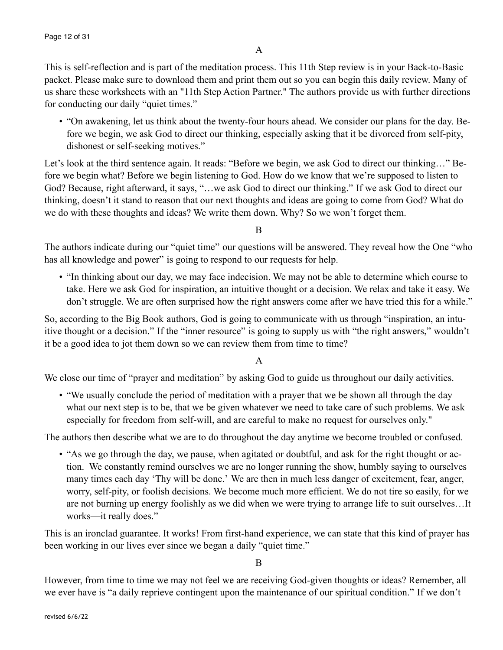This is self-reflection and is part of the meditation process. This 11th Step review is in your Back-to-Basic packet. Please make sure to download them and print them out so you can begin this daily review. Many of us share these worksheets with an "11th Step Action Partner." The authors provide us with further directions for conducting our daily "quiet times."

• "On awakening, let us think about the twenty-four hours ahead. We consider our plans for the day. Before we begin, we ask God to direct our thinking, especially asking that it be divorced from self-pity, dishonest or self-seeking motives."

Let's look at the third sentence again. It reads: "Before we begin, we ask God to direct our thinking…" Before we begin what? Before we begin listening to God. How do we know that we're supposed to listen to God? Because, right afterward, it says, "…we ask God to direct our thinking." If we ask God to direct our thinking, doesn't it stand to reason that our next thoughts and ideas are going to come from God? What do we do with these thoughts and ideas? We write them down. Why? So we won't forget them.

B

The authors indicate during our "quiet time" our questions will be answered. They reveal how the One "who has all knowledge and power" is going to respond to our requests for help.

• "In thinking about our day, we may face indecision. We may not be able to determine which course to take. Here we ask God for inspiration, an intuitive thought or a decision. We relax and take it easy. We don't struggle. We are often surprised how the right answers come after we have tried this for a while."

So, according to the Big Book authors, God is going to communicate with us through "inspiration, an intuitive thought or a decision." If the "inner resource" is going to supply us with "the right answers," wouldn't it be a good idea to jot them down so we can review them from time to time?

# A

We close our time of "prayer and meditation" by asking God to guide us throughout our daily activities.

• "We usually conclude the period of meditation with a prayer that we be shown all through the day what our next step is to be, that we be given whatever we need to take care of such problems. We ask especially for freedom from self-will, and are careful to make no request for ourselves only."

The authors then describe what we are to do throughout the day anytime we become troubled or confused.

• "As we go through the day, we pause, when agitated or doubtful, and ask for the right thought or action. We constantly remind ourselves we are no longer running the show, humbly saying to ourselves many times each day 'Thy will be done.' We are then in much less danger of excitement, fear, anger, worry, self-pity, or foolish decisions. We become much more efficient. We do not tire so easily, for we are not burning up energy foolishly as we did when we were trying to arrange life to suit ourselves…It works—it really does."

This is an ironclad guarantee. It works! From first-hand experience, we can state that this kind of prayer has been working in our lives ever since we began a daily "quiet time."

B

However, from time to time we may not feel we are receiving God-given thoughts or ideas? Remember, all we ever have is "a daily reprieve contingent upon the maintenance of our spiritual condition." If we don't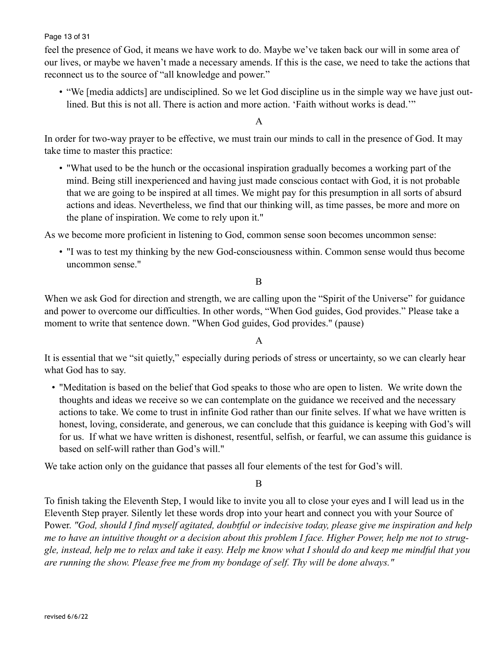Page 13 of 31

feel the presence of God, it means we have work to do. Maybe we've taken back our will in some area of our lives, or maybe we haven't made a necessary amends. If this is the case, we need to take the actions that reconnect us to the source of "all knowledge and power."

• "We [media addicts] are undisciplined. So we let God discipline us in the simple way we have just outlined. But this is not all. There is action and more action. 'Faith without works is dead.'"

A

In order for two-way prayer to be effective, we must train our minds to call in the presence of God. It may take time to master this practice:

• "What used to be the hunch or the occasional inspiration gradually becomes a working part of the mind. Being still inexperienced and having just made conscious contact with God, it is not probable that we are going to be inspired at all times. We might pay for this presumption in all sorts of absurd actions and ideas. Nevertheless, we find that our thinking will, as time passes, be more and more on the plane of inspiration. We come to rely upon it."

As we become more proficient in listening to God, common sense soon becomes uncommon sense:

• "I was to test my thinking by the new God-consciousness within. Common sense would thus become uncommon sense."

## B

When we ask God for direction and strength, we are calling upon the "Spirit of the Universe" for guidance and power to overcome our difficulties. In other words, "When God guides, God provides." Please take a moment to write that sentence down. "When God guides, God provides." (pause)

# A

It is essential that we "sit quietly," especially during periods of stress or uncertainty, so we can clearly hear what God has to say.

• "Meditation is based on the belief that God speaks to those who are open to listen. We write down the thoughts and ideas we receive so we can contemplate on the guidance we received and the necessary actions to take. We come to trust in infinite God rather than our finite selves. If what we have written is honest, loving, considerate, and generous, we can conclude that this guidance is keeping with God's will for us. If what we have written is dishonest, resentful, selfish, or fearful, we can assume this guidance is based on self-will rather than God's will."

We take action only on the guidance that passes all four elements of the test for God's will.

B

To finish taking the Eleventh Step, I would like to invite you all to close your eyes and I will lead us in the Eleventh Step prayer. Silently let these words drop into your heart and connect you with your Source of Power. *"God, should I find myself agitated, doubtful or indecisive today, please give me inspiration and help me to have an intuitive thought or a decision about this problem I face. Higher Power, help me not to struggle, instead, help me to relax and take it easy. Help me know what I should do and keep me mindful that you are running the show. Please free me from my bondage of self. Thy will be done always."*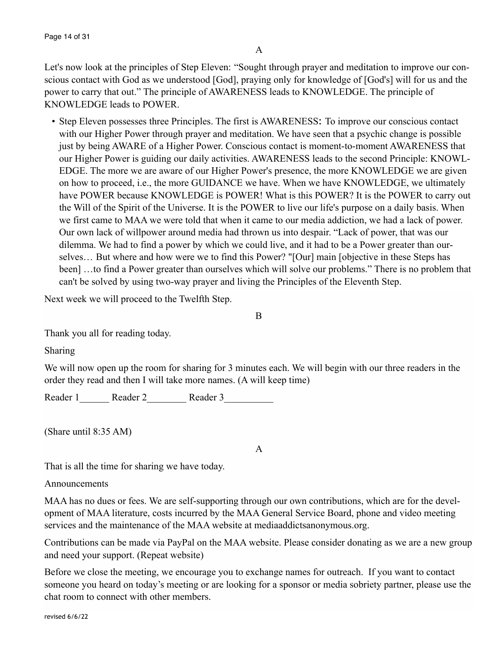Let's now look at the principles of Step Eleven: "Sought through prayer and meditation to improve our conscious contact with God as we understood [God], praying only for knowledge of [God's] will for us and the power to carry that out." The principle of AWARENESS leads to KNOWLEDGE. The principle of KNOWLEDGE leads to POWER.

• Step Eleven possesses three Principles. The first is AWARENESS: To improve our conscious contact with our Higher Power through prayer and meditation. We have seen that a psychic change is possible just by being AWARE of a Higher Power. Conscious contact is moment-to-moment AWARENESS that our Higher Power is guiding our daily activities. AWARENESS leads to the second Principle: KNOWL-EDGE. The more we are aware of our Higher Power's presence, the more KNOWLEDGE we are given on how to proceed, i.e., the more GUIDANCE we have. When we have KNOWLEDGE, we ultimately have POWER because KNOWLEDGE is POWER! What is this POWER? It is the POWER to carry out the Will of the Spirit of the Universe. It is the POWER to live our life's purpose on a daily basis. When we first came to MAA we were told that when it came to our media addiction, we had a lack of power. Our own lack of willpower around media had thrown us into despair. "Lack of power, that was our dilemma. We had to find a power by which we could live, and it had to be a Power greater than ourselves… But where and how were we to find this Power? "[Our] main [objective in these Steps has been] …to find a Power greater than ourselves which will solve our problems." There is no problem that can't be solved by using two-way prayer and living the Principles of the Eleventh Step.

Next week we will proceed to the Twelfth Step.

B

Thank you all for reading today.

Sharing

We will now open up the room for sharing for 3 minutes each. We will begin with our three readers in the order they read and then I will take more names. (A will keep time)

Reader 1\_\_\_\_\_\_\_ Reader 2\_\_\_\_\_\_\_\_\_ Reader 3\_\_\_\_\_\_\_

(Share until 8:35 AM)

A

That is all the time for sharing we have today.

Announcements

MAA has no dues or fees. We are self-supporting through our own contributions, which are for the development of MAA literature, costs incurred by the MAA General Service Board, phone and video meeting services and the maintenance of the MAA website at mediaaddictsanonymous.org.

Contributions can be made via PayPal on the MAA website. Please consider donating as we are a new group and need your support. (Repeat website)

Before we close the meeting, we encourage you to exchange names for outreach. If you want to contact someone you heard on today's meeting or are looking for a sponsor or media sobriety partner, please use the chat room to connect with other members.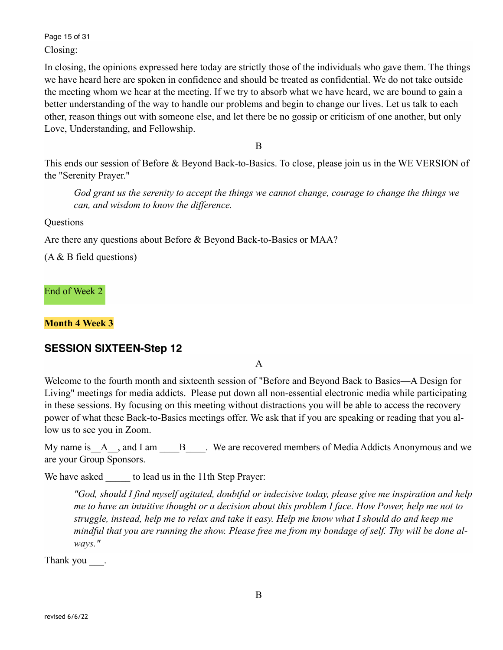Page 15 of 31 Closing:

In closing, the opinions expressed here today are strictly those of the individuals who gave them. The things we have heard here are spoken in confidence and should be treated as confidential. We do not take outside the meeting whom we hear at the meeting. If we try to absorb what we have heard, we are bound to gain a better understanding of the way to handle our problems and begin to change our lives. Let us talk to each other, reason things out with someone else, and let there be no gossip or criticism of one another, but only Love, Understanding, and Fellowship.

B

This ends our session of Before & Beyond Back-to-Basics. To close, please join us in the WE VERSION of the "Serenity Prayer."

*God grant us the serenity to accept the things we cannot change, courage to change the things we can, and wisdom to know the difference.* 

**Ouestions** 

Are there any questions about Before & Beyond Back-to-Basics or MAA?

(A & B field questions)

End of Week 2

**Month 4 Week 3**

# **SESSION SIXTEEN-Step 12**

A

Welcome to the fourth month and sixteenth session of "Before and Beyond Back to Basics—A Design for Living" meetings for media addicts. Please put down all non-essential electronic media while participating in these sessions. By focusing on this meeting without distractions you will be able to access the recovery power of what these Back-to-Basics meetings offer. We ask that if you are speaking or reading that you allow us to see you in Zoom.

My name is A, and I am B. We are recovered members of Media Addicts Anonymous and we are your Group Sponsors.

We have asked \_\_\_\_\_\_ to lead us in the 11th Step Prayer:

*"God, should I find myself agitated, doubtful or indecisive today, please give me inspiration and help me to have an intuitive thought or a decision about this problem I face. How Power, help me not to struggle, instead, help me to relax and take it easy. Help me know what I should do and keep me mindful that you are running the show. Please free me from my bondage of self. Thy will be done always."*

Thank you \_\_\_\_.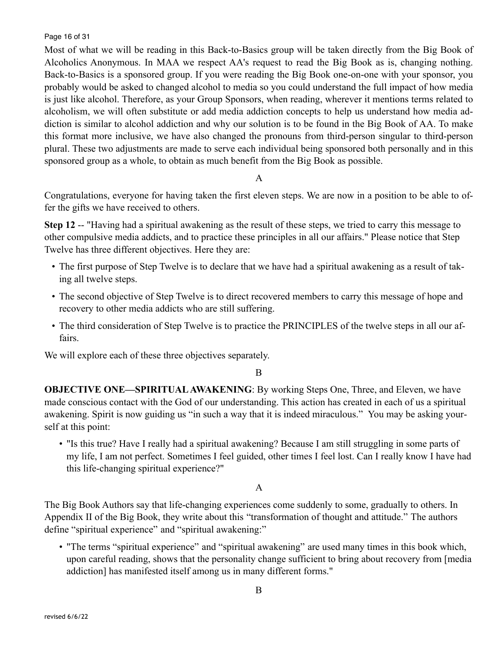Page 16 of 31

Most of what we will be reading in this Back-to-Basics group will be taken directly from the Big Book of Alcoholics Anonymous. In MAA we respect AA's request to read the Big Book as is, changing nothing. Back-to-Basics is a sponsored group. If you were reading the Big Book one-on-one with your sponsor, you probably would be asked to changed alcohol to media so you could understand the full impact of how media is just like alcohol. Therefore, as your Group Sponsors, when reading, wherever it mentions terms related to alcoholism, we will often substitute or add media addiction concepts to help us understand how media addiction is similar to alcohol addiction and why our solution is to be found in the Big Book of AA. To make this format more inclusive, we have also changed the pronouns from third-person singular to third-person plural. These two adjustments are made to serve each individual being sponsored both personally and in this sponsored group as a whole, to obtain as much benefit from the Big Book as possible.

## A

Congratulations, everyone for having taken the first eleven steps. We are now in a position to be able to offer the gifts we have received to others.

**Step 12** -- "Having had a spiritual awakening as the result of these steps, we tried to carry this message to other compulsive media addicts, and to practice these principles in all our affairs." Please notice that Step Twelve has three different objectives. Here they are:

- The first purpose of Step Twelve is to declare that we have had a spiritual awakening as a result of taking all twelve steps.
- The second objective of Step Twelve is to direct recovered members to carry this message of hope and recovery to other media addicts who are still suffering.
- The third consideration of Step Twelve is to practice the PRINCIPLES of the twelve steps in all our affairs.

We will explore each of these three objectives separately.

B

**OBJECTIVE ONE—SPIRITUAL AWAKENING**: By working Steps One, Three, and Eleven, we have made conscious contact with the God of our understanding. This action has created in each of us a spiritual awakening. Spirit is now guiding us "in such a way that it is indeed miraculous."You may be asking yourself at this point:

• "Is this true? Have I really had a spiritual awakening? Because I am still struggling in some parts of my life, I am not perfect. Sometimes I feel guided, other times I feel lost. Can I really know I have had this life-changing spiritual experience?"

A

The Big Book Authors say that life-changing experiences come suddenly to some, gradually to others. In Appendix II of the Big Book, they write about this "transformation of thought and attitude." The authors define "spiritual experience" and "spiritual awakening:"

• "The terms "spiritual experience" and "spiritual awakening" are used many times in this book which, upon careful reading, shows that the personality change sufficient to bring about recovery from [media addiction] has manifested itself among us in many different forms."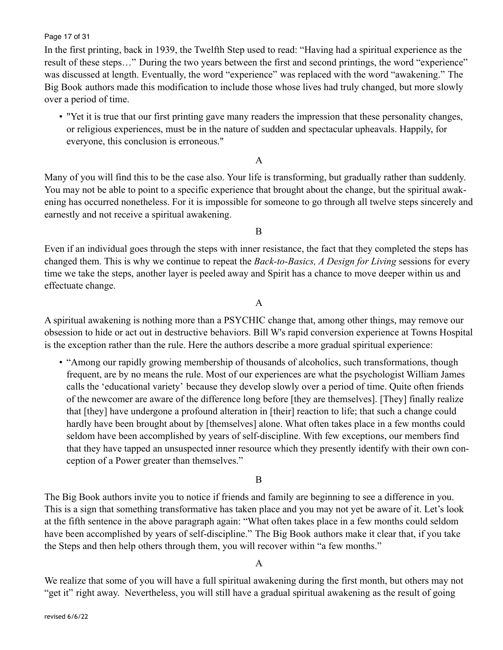Page 17 of 31

In the first printing, back in 1939, the Twelfth Step used to read: "Having had a spiritual experience as the result of these steps…" During the two years between the first and second printings, the word "experience" was discussed at length. Eventually, the word "experience" was replaced with the word "awakening." The Big Book authors made this modification to include those whose lives had truly changed, but more slowly over a period of time.

• "Yet it is true that our first printing gave many readers the impression that these personality changes, or religious experiences, must be in the nature of sudden and spectacular upheavals. Happily, for everyone, this conclusion is erroneous."

A

Many of you will find this to be the case also. Your life is transforming, but gradually rather than suddenly. You may not be able to point to a specific experience that brought about the change, but the spiritual awakening has occurred nonetheless. For it is impossible for someone to go through all twelve steps sincerely and earnestly and not receive a spiritual awakening.

B

Even if an individual goes through the steps with inner resistance, the fact that they completed the steps has changed them. This is why we continue to repeat the *Back-to-Basics, A Design for Living* sessions for every time we take the steps, another layer is peeled away and Spirit has a chance to move deeper within us and effectuate change.

A

A spiritual awakening is nothing more than a PSYCHIC change that, among other things, may remove our obsession to hide or act out in destructive behaviors. Bill W's rapid conversion experience at Towns Hospital is the exception rather than the rule. Here the authors describe a more gradual spiritual experience:

• "Among our rapidly growing membership of thousands of alcoholics, such transformations, though frequent, are by no means the rule. Most of our experiences are what the psychologist William James calls the 'educational variety' because they develop slowly over a period of time. Quite often friends of the newcomer are aware of the difference long before [they are themselves]. [They] finally realize that [they] have undergone a profound alteration in [their] reaction to life; that such a change could hardly have been brought about by [themselves] alone. What often takes place in a few months could seldom have been accomplished by years of self-discipline. With few exceptions, our members find that they have tapped an unsuspected inner resource which they presently identify with their own conception of a Power greater than themselves."

# B

The Big Book authors invite you to notice if friends and family are beginning to see a difference in you. This is a sign that something transformative has taken place and you may not yet be aware of it. Let's look at the fifth sentence in the above paragraph again: "What often takes place in a few months could seldom have been accomplished by years of self-discipline." The Big Book authors make it clear that, if you take the Steps and then help others through them, you will recover within "a few months."

# A

We realize that some of you will have a full spiritual awakening during the first month, but others may not "get it" right away. Nevertheless, you will still have a gradual spiritual awakening as the result of going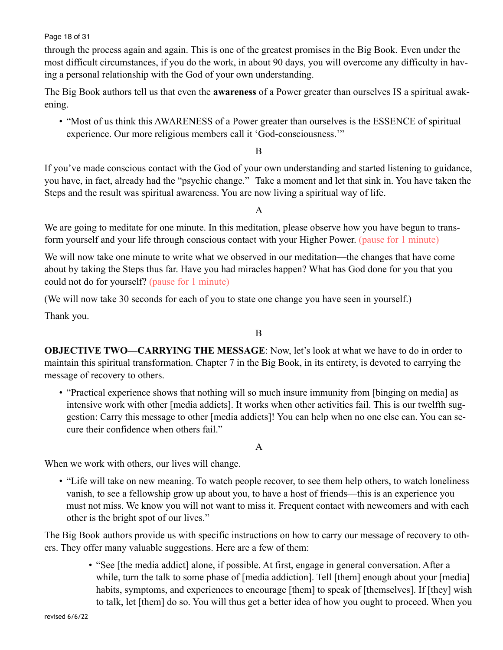Page 18 of 31

through the process again and again. This is one of the greatest promises in the Big Book. Even under the most difficult circumstances, if you do the work, in about 90 days, you will overcome any difficulty in having a personal relationship with the God of your own understanding.

The Big Book authors tell us that even the **awareness** of a Power greater than ourselves IS a spiritual awakening.

• "Most of us think this AWARENESS of a Power greater than ourselves is the ESSENCE of spiritual experience. Our more religious members call it 'God-consciousness.'"

B

If you've made conscious contact with the God of your own understanding and started listening to guidance, you have, in fact, already had the "psychic change." Take a moment and let that sink in. You have taken the Steps and the result was spiritual awareness. You are now living a spiritual way of life.

A

We are going to meditate for one minute. In this meditation, please observe how you have begun to transform yourself and your life through conscious contact with your Higher Power. (pause for 1 minute)

We will now take one minute to write what we observed in our meditation—the changes that have come about by taking the Steps thus far. Have you had miracles happen? What has God done for you that you could not do for yourself? (pause for 1 minute)

(We will now take 30 seconds for each of you to state one change you have seen in yourself.)

Thank you.

# B

**OBJECTIVE TWO—CARRYING THE MESSAGE:** Now, let's look at what we have to do in order to maintain this spiritual transformation. Chapter 7 in the Big Book, in its entirety, is devoted to carrying the message of recovery to others.

• "Practical experience shows that nothing will so much insure immunity from [binging on media] as intensive work with other [media addicts]. It works when other activities fail. This is our twelfth suggestion: Carry this message to other [media addicts]! You can help when no one else can. You can secure their confidence when others fail."

A

When we work with others, our lives will change.

• "Life will take on new meaning. To watch people recover, to see them help others, to watch loneliness vanish, to see a fellowship grow up about you, to have a host of friends—this is an experience you must not miss. We know you will not want to miss it. Frequent contact with newcomers and with each other is the bright spot of our lives."

The Big Book authors provide us with specific instructions on how to carry our message of recovery to others. They offer many valuable suggestions. Here are a few of them:

> • "See [the media addict] alone, if possible. At first, engage in general conversation. After a while, turn the talk to some phase of [media addiction]. Tell [them] enough about your [media] habits, symptoms, and experiences to encourage [them] to speak of [themselves]. If [they] wish to talk, let [them] do so. You will thus get a better idea of how you ought to proceed. When you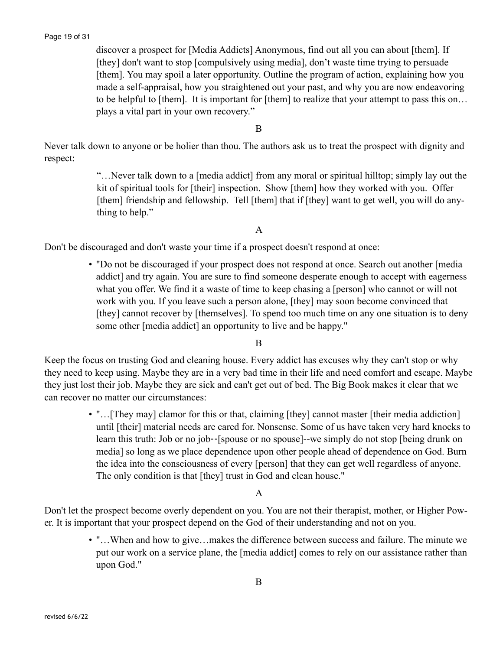discover a prospect for [Media Addicts] Anonymous, find out all you can about [them]. If [they] don't want to stop [compulsively using media], don't waste time trying to persuade [them]. You may spoil a later opportunity. Outline the program of action, explaining how you made a self-appraisal, how you straightened out your past, and why you are now endeavoring to be helpful to [them]. It is important for [them] to realize that your attempt to pass this on… plays a vital part in your own recovery."

B

Never talk down to anyone or be holier than thou. The authors ask us to treat the prospect with dignity and respect:

> "…Never talk down to a [media addict] from any moral or spiritual hilltop; simply lay out the kit of spiritual tools for [their] inspection. Show [them] how they worked with you. Offer [them] friendship and fellowship. Tell [them] that if [they] want to get well, you will do anything to help."

> > A

Don't be discouraged and don't waste your time if a prospect doesn't respond at once:

• "Do not be discouraged if your prospect does not respond at once. Search out another [media addict] and try again. You are sure to find someone desperate enough to accept with eagerness what you offer. We find it a waste of time to keep chasing a [person] who cannot or will not work with you. If you leave such a person alone, [they] may soon become convinced that [they] cannot recover by [themselves]. To spend too much time on any one situation is to deny some other [media addict] an opportunity to live and be happy."

B

Keep the focus on trusting God and cleaning house. Every addict has excuses why they can't stop or why they need to keep using. Maybe they are in a very bad time in their life and need comfort and escape. Maybe they just lost their job. Maybe they are sick and can't get out of bed. The Big Book makes it clear that we can recover no matter our circumstances:

> • "... [They may] clamor for this or that, claiming [they] cannot master [their media addiction] until [their] material needs are cared for. Nonsense. Some of us have taken very hard knocks to learn this truth: Job or no job--[spouse or no spouse]--we simply do not stop [being drunk on media] so long as we place dependence upon other people ahead of dependence on God. Burn the idea into the consciousness of every [person] that they can get well regardless of anyone. The only condition is that [they] trust in God and clean house."

# A

Don't let the prospect become overly dependent on you. You are not their therapist, mother, or Higher Power. It is important that your prospect depend on the God of their understanding and not on you.

> • "…When and how to give…makes the difference between success and failure. The minute we put our work on a service plane, the [media addict] comes to rely on our assistance rather than upon God."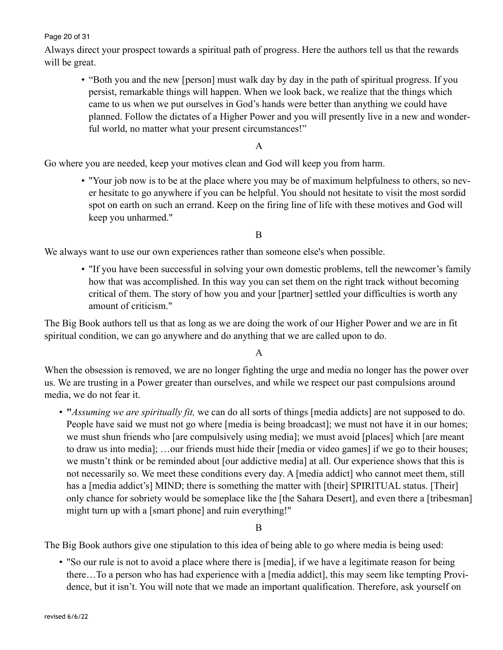#### Page 20 of 31

Always direct your prospect towards a spiritual path of progress. Here the authors tell us that the rewards will be great.

• "Both you and the new [person] must walk day by day in the path of spiritual progress. If you persist, remarkable things will happen. When we look back, we realize that the things which came to us when we put ourselves in God's hands were better than anything we could have planned. Follow the dictates of a Higher Power and you will presently live in a new and wonderful world, no matter what your present circumstances!"

A

Go where you are needed, keep your motives clean and God will keep you from harm.

• "Your job now is to be at the place where you may be of maximum helpfulness to others, so never hesitate to go anywhere if you can be helpful. You should not hesitate to visit the most sordid spot on earth on such an errand. Keep on the firing line of life with these motives and God will keep you unharmed."

B

We always want to use our own experiences rather than someone else's when possible.

• "If you have been successful in solving your own domestic problems, tell the newcomer's family how that was accomplished. In this way you can set them on the right track without becoming critical of them. The story of how you and your [partner] settled your difficulties is worth any amount of criticism."

The Big Book authors tell us that as long as we are doing the work of our Higher Power and we are in fit spiritual condition, we can go anywhere and do anything that we are called upon to do.

A

When the obsession is removed, we are no longer fighting the urge and media no longer has the power over us. We are trusting in a Power greater than ourselves, and while we respect our past compulsions around media, we do not fear it.

• **"***Assuming we are spiritually fit,* we can do all sorts of things [media addicts] are not supposed to do. People have said we must not go where [media is being broadcast]; we must not have it in our homes; we must shun friends who [are compulsively using media]; we must avoid [places] which [are meant to draw us into media]; …our friends must hide their [media or video games] if we go to their houses; we mustn't think or be reminded about [our addictive media] at all. Our experience shows that this is not necessarily so. We meet these conditions every day. A [media addict] who cannot meet them, still has a [media addict's] MIND; there is something the matter with [their] SPIRITUAL status. [Their] only chance for sobriety would be someplace like the [the Sahara Desert], and even there a [tribesman] might turn up with a [smart phone] and ruin everything!"

B

The Big Book authors give one stipulation to this idea of being able to go where media is being used:

• "So our rule is not to avoid a place where there is [media], if we have a legitimate reason for being there…To a person who has had experience with a [media addict], this may seem like tempting Providence, but it isn't. You will note that we made an important qualification. Therefore, ask yourself on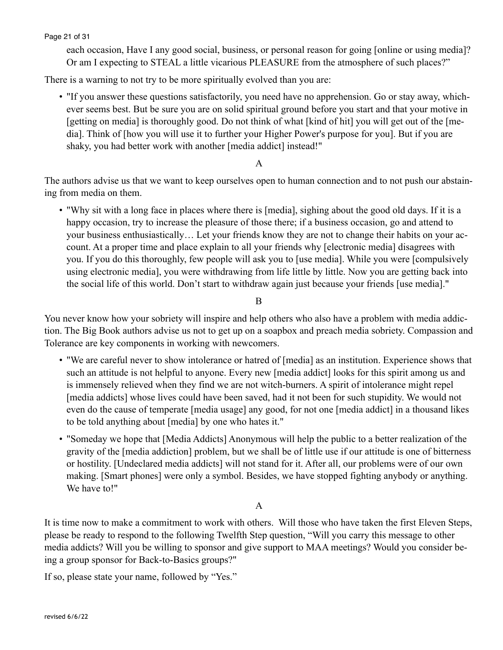Page 21 of 31

each occasion, Have I any good social, business, or personal reason for going [online or using media]? Or am I expecting to STEAL a little vicarious PLEASURE from the atmosphere of such places?"

There is a warning to not try to be more spiritually evolved than you are:

• "If you answer these questions satisfactorily, you need have no apprehension. Go or stay away, whichever seems best. But be sure you are on solid spiritual ground before you start and that your motive in [getting on media] is thoroughly good. Do not think of what [kind of hit] you will get out of the [media]. Think of [how you will use it to further your Higher Power's purpose for you]. But if you are shaky, you had better work with another [media addict] instead!"

A

The authors advise us that we want to keep ourselves open to human connection and to not push our abstaining from media on them.

• "Why sit with a long face in places where there is [media], sighing about the good old days. If it is a happy occasion, try to increase the pleasure of those there; if a business occasion, go and attend to your business enthusiastically… Let your friends know they are not to change their habits on your account. At a proper time and place explain to all your friends why [electronic media] disagrees with you. If you do this thoroughly, few people will ask you to [use media]. While you were [compulsively using electronic media], you were withdrawing from life little by little. Now you are getting back into the social life of this world. Don't start to withdraw again just because your friends [use media]."

B

You never know how your sobriety will inspire and help others who also have a problem with media addiction. The Big Book authors advise us not to get up on a soapbox and preach media sobriety. Compassion and Tolerance are key components in working with newcomers.

- "We are careful never to show intolerance or hatred of [media] as an institution. Experience shows that such an attitude is not helpful to anyone. Every new [media addict] looks for this spirit among us and is immensely relieved when they find we are not witch-burners. A spirit of intolerance might repel [media addicts] whose lives could have been saved, had it not been for such stupidity. We would not even do the cause of temperate [media usage] any good, for not one [media addict] in a thousand likes to be told anything about [media] by one who hates it."
- "Someday we hope that [Media Addicts] Anonymous will help the public to a better realization of the gravity of the [media addiction] problem, but we shall be of little use if our attitude is one of bitterness or hostility. [Undeclared media addicts] will not stand for it. After all, our problems were of our own making. [Smart phones] were only a symbol. Besides, we have stopped fighting anybody or anything. We have to!"

# A

It is time now to make a commitment to work with others. Will those who have taken the first Eleven Steps, please be ready to respond to the following Twelfth Step question, "Will you carry this message to other media addicts? Will you be willing to sponsor and give support to MAA meetings? Would you consider being a group sponsor for Back-to-Basics groups?"

If so, please state your name, followed by "Yes."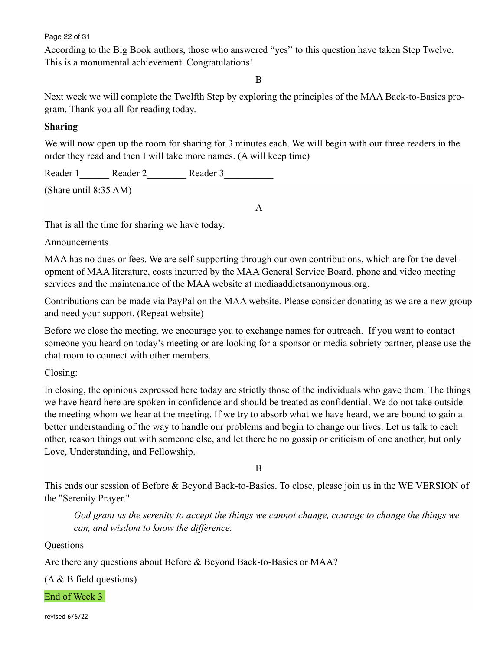Page 22 of 31

According to the Big Book authors, those who answered "yes" to this question have taken Step Twelve. This is a monumental achievement. Congratulations!

B

Next week we will complete the Twelfth Step by exploring the principles of the MAA Back-to-Basics program. Thank you all for reading today.

## **Sharing**

We will now open up the room for sharing for 3 minutes each. We will begin with our three readers in the order they read and then I will take more names. (A will keep time)

Reader 1 \_\_\_\_\_\_ Reader 2 \_\_\_\_\_\_\_\_ Reader 3

(Share until 8:35 AM)

A

That is all the time for sharing we have today.

Announcements

MAA has no dues or fees. We are self-supporting through our own contributions, which are for the development of MAA literature, costs incurred by the MAA General Service Board, phone and video meeting services and the maintenance of the MAA website at mediaaddictsanonymous.org.

Contributions can be made via PayPal on the MAA website. Please consider donating as we are a new group and need your support. (Repeat website)

Before we close the meeting, we encourage you to exchange names for outreach. If you want to contact someone you heard on today's meeting or are looking for a sponsor or media sobriety partner, please use the chat room to connect with other members.

Closing:

In closing, the opinions expressed here today are strictly those of the individuals who gave them. The things we have heard here are spoken in confidence and should be treated as confidential. We do not take outside the meeting whom we hear at the meeting. If we try to absorb what we have heard, we are bound to gain a better understanding of the way to handle our problems and begin to change our lives. Let us talk to each other, reason things out with someone else, and let there be no gossip or criticism of one another, but only Love, Understanding, and Fellowship.

B

This ends our session of Before & Beyond Back-to-Basics. To close, please join us in the WE VERSION of the "Serenity Prayer."

*God grant us the serenity to accept the things we cannot change, courage to change the things we can, and wisdom to know the difference.* 

Questions

Are there any questions about Before & Beyond Back-to-Basics or MAA?

(A & B field questions)

End of Week 3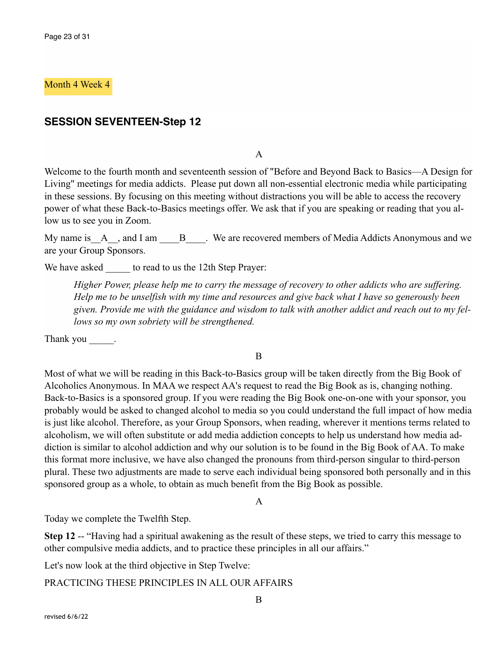Month 4 Week 4

# **SESSION SEVENTEEN-Step 12**

A

Welcome to the fourth month and seventeenth session of "Before and Beyond Back to Basics—A Design for Living" meetings for media addicts. Please put down all non-essential electronic media while participating in these sessions. By focusing on this meeting without distractions you will be able to access the recovery power of what these Back-to-Basics meetings offer. We ask that if you are speaking or reading that you allow us to see you in Zoom.

My name is A<sub>\_\_</sub>, and I am \_\_\_\_B\_\_\_\_. We are recovered members of Media Addicts Anonymous and we are your Group Sponsors.

We have asked to read to us the 12th Step Prayer:

*Higher Power, please help me to carry the message of recovery to other addicts who are suffering. Help me to be unselfish with my time and resources and give back what I have so generously been given. Provide me with the guidance and wisdom to talk with another addict and reach out to my fellows so my own sobriety will be strengthened.*

Thank you \_\_\_\_\_\_.

B

Most of what we will be reading in this Back-to-Basics group will be taken directly from the Big Book of Alcoholics Anonymous. In MAA we respect AA's request to read the Big Book as is, changing nothing. Back-to-Basics is a sponsored group. If you were reading the Big Book one-on-one with your sponsor, you probably would be asked to changed alcohol to media so you could understand the full impact of how media is just like alcohol. Therefore, as your Group Sponsors, when reading, wherever it mentions terms related to alcoholism, we will often substitute or add media addiction concepts to help us understand how media addiction is similar to alcohol addiction and why our solution is to be found in the Big Book of AA. To make this format more inclusive, we have also changed the pronouns from third-person singular to third-person plural. These two adjustments are made to serve each individual being sponsored both personally and in this sponsored group as a whole, to obtain as much benefit from the Big Book as possible.

A

Today we complete the Twelfth Step.

**Step 12** -- "Having had a spiritual awakening as the result of these steps, we tried to carry this message to other compulsive media addicts, and to practice these principles in all our affairs."

Let's now look at the third objective in Step Twelve:

PRACTICING THESE PRINCIPLES IN ALL OUR AFFAIRS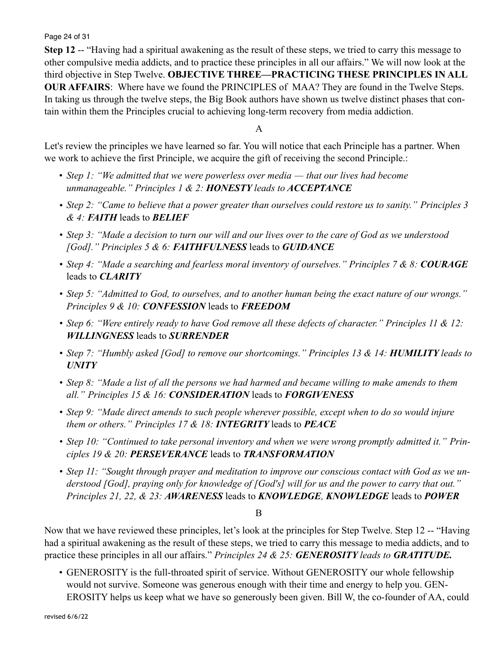Page 24 of 31

**Step 12** -- "Having had a spiritual awakening as the result of these steps, we tried to carry this message to other compulsive media addicts, and to practice these principles in all our affairs." We will now look at the third objective in Step Twelve. **OBJECTIVE THREE—PRACTICING THESE PRINCIPLES IN ALL OUR AFFAIRS**: Where have we found the PRINCIPLES of MAA? They are found in the Twelve Steps. In taking us through the twelve steps, the Big Book authors have shown us twelve distinct phases that contain within them the Principles crucial to achieving long-term recovery from media addiction.

## A

Let's review the principles we have learned so far. You will notice that each Principle has a partner. When we work to achieve the first Principle, we acquire the gift of receiving the second Principle.:

- *Step 1: "We admitted that we were powerless over media — that our lives had become unmanageable." Principles 1 & 2: HONESTY leads to ACCEPTANCE*
- *• Step 2: "Came to believe that a power greater than ourselves could restore us to sanity." Principles 3 & 4: FAITH* leads to *BELIEF*
- *• Step 3: "Made a decision to turn our will and our lives over to the care of God as we understood [God]." Principles 5 & 6: FAITHFULNESS* leads to *GUIDANCE*
- *• Step 4: "Made a searching and fearless moral inventory of ourselves." Principles 7 & 8: COURAGE*  leads to *CLARITY*
- *• Step 5: "Admitted to God, to ourselves, and to another human being the exact nature of our wrongs." Principles 9 & 10: CONFESSION* leads to *FREEDOM*
- *• Step 6: "Were entirely ready to have God remove all these defects of character." Principles 11 & 12: WILLINGNESS* leads to *SURRENDER*
- *Step 7: "Humbly asked [God] to remove our shortcomings." Principles 13 & 14: HUMILITY leads to UNITY*
- *• Step 8: "Made a list of all the persons we had harmed and became willing to make amends to them all." Principles 15 & 16: CONSIDERATION* leads to *FORGIVENESS*
- *• Step 9: "Made direct amends to such people wherever possible, except when to do so would injure them or others." Principles 17 & 18: INTEGRITY* leads to *PEACE*
- *• Step 10: "Continued to take personal inventory and when we were wrong promptly admitted it." Principles 19 & 20: PERSEVERANCE* leads to *TRANSFORMATION*
- Step 11: "Sought through prayer and meditation to improve our conscious contact with God as we un*derstood [God], praying only for knowledge of [God's] will for us and the power to carry that out." Principles 21, 22, & 23: AWARENESS* leads to *KNOWLEDGE, KNOWLEDGE* leads to *POWER*

B

Now that we have reviewed these principles, let's look at the principles for Step Twelve. Step 12 -- "Having had a spiritual awakening as the result of these steps, we tried to carry this message to media addicts, and to practice these principles in all our affairs." *Principles 24 & 25: GENEROSITY leads to GRATITUDE.*

• GENEROSITY is the full-throated spirit of service. Without GENEROSITY our whole fellowship would not survive. Someone was generous enough with their time and energy to help you. GEN-EROSITY helps us keep what we have so generously been given. Bill W, the co-founder of AA, could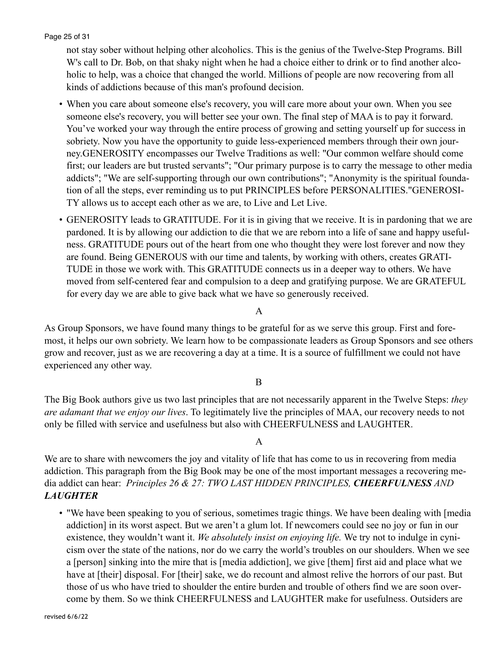#### Page 25 of 31

not stay sober without helping other alcoholics. This is the genius of the Twelve-Step Programs. Bill W's call to Dr. Bob, on that shaky night when he had a choice either to drink or to find another alcoholic to help, was a choice that changed the world. Millions of people are now recovering from all kinds of addictions because of this man's profound decision.

- When you care about someone else's recovery, you will care more about your own. When you see someone else's recovery, you will better see your own. The final step of MAA is to pay it forward. You've worked your way through the entire process of growing and setting yourself up for success in sobriety. Now you have the opportunity to guide less-experienced members through their own journey.GENEROSITY encompasses our Twelve Traditions as well: "Our common welfare should come first; our leaders are but trusted servants"; "Our primary purpose is to carry the message to other media addicts"; "We are self-supporting through our own contributions"; "Anonymity is the spiritual foundation of all the steps, ever reminding us to put PRINCIPLES before PERSONALITIES."GENEROSI-TY allows us to accept each other as we are, to Live and Let Live.
- GENEROSITY leads to GRATITUDE. For it is in giving that we receive. It is in pardoning that we are pardoned. It is by allowing our addiction to die that we are reborn into a life of sane and happy usefulness. GRATITUDE pours out of the heart from one who thought they were lost forever and now they are found. Being GENEROUS with our time and talents, by working with others, creates GRATI-TUDE in those we work with. This GRATITUDE connects us in a deeper way to others. We have moved from self-centered fear and compulsion to a deep and gratifying purpose. We are GRATEFUL for every day we are able to give back what we have so generously received.

#### A

As Group Sponsors, we have found many things to be grateful for as we serve this group. First and foremost, it helps our own sobriety. We learn how to be compassionate leaders as Group Sponsors and see others grow and recover, just as we are recovering a day at a time. It is a source of fulfillment we could not have experienced any other way.

# B

The Big Book authors give us two last principles that are not necessarily apparent in the Twelve Steps: *they are adamant that we enjoy our lives*. To legitimately live the principles of MAA, our recovery needs to not only be filled with service and usefulness but also with CHEERFULNESS and LAUGHTER.

#### A

We are to share with newcomers the joy and vitality of life that has come to us in recovering from media addiction. This paragraph from the Big Book may be one of the most important messages a recovering media addict can hear: *Principles 26 & 27: TWO LAST HIDDEN PRINCIPLES, CHEERFULNESS AND LAUGHTER*

• "We have been speaking to you of serious, sometimes tragic things. We have been dealing with [media addiction] in its worst aspect. But we aren't a glum lot. If newcomers could see no joy or fun in our existence, they wouldn't want it. *We absolutely insist on enjoying life.* We try not to indulge in cynicism over the state of the nations, nor do we carry the world's troubles on our shoulders. When we see a [person] sinking into the mire that is [media addiction], we give [them] first aid and place what we have at [their] disposal. For [their] sake, we do recount and almost relive the horrors of our past. But those of us who have tried to shoulder the entire burden and trouble of others find we are soon overcome by them. So we think CHEERFULNESS and LAUGHTER make for usefulness. Outsiders are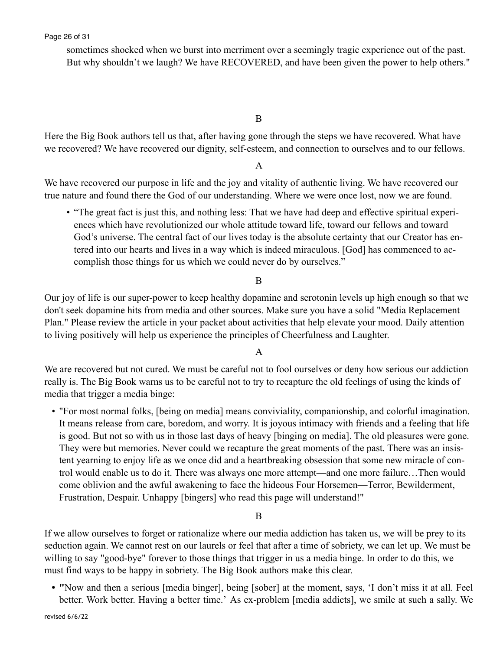sometimes shocked when we burst into merriment over a seemingly tragic experience out of the past. But why shouldn't we laugh? We have RECOVERED, and have been given the power to help others."

B

Here the Big Book authors tell us that, after having gone through the steps we have recovered. What have we recovered? We have recovered our dignity, self-esteem, and connection to ourselves and to our fellows.

# A

We have recovered our purpose in life and the joy and vitality of authentic living. We have recovered our true nature and found there the God of our understanding. Where we were once lost, now we are found.

• "The great fact is just this, and nothing less: That we have had deep and effective spiritual experiences which have revolutionized our whole attitude toward life, toward our fellows and toward God's universe. The central fact of our lives today is the absolute certainty that our Creator has entered into our hearts and lives in a way which is indeed miraculous. [God] has commenced to accomplish those things for us which we could never do by ourselves."

## B

Our joy of life is our super-power to keep healthy dopamine and serotonin levels up high enough so that we don't seek dopamine hits from media and other sources. Make sure you have a solid "Media Replacement Plan." Please review the article in your packet about activities that help elevate your mood. Daily attention to living positively will help us experience the principles of Cheerfulness and Laughter.

A

We are recovered but not cured. We must be careful not to fool ourselves or deny how serious our addiction really is. The Big Book warns us to be careful not to try to recapture the old feelings of using the kinds of media that trigger a media binge:

• "For most normal folks, [being on media] means conviviality, companionship, and colorful imagination. It means release from care, boredom, and worry. It is joyous intimacy with friends and a feeling that life is good. But not so with us in those last days of heavy [binging on media]. The old pleasures were gone. They were but memories. Never could we recapture the great moments of the past. There was an insistent yearning to enjoy life as we once did and a heartbreaking obsession that some new miracle of control would enable us to do it. There was always one more attempt—and one more failure…Then would come oblivion and the awful awakening to face the hideous Four Horsemen—Terror, Bewilderment, Frustration, Despair. Unhappy [bingers] who read this page will understand!"

# B

If we allow ourselves to forget or rationalize where our media addiction has taken us, we will be prey to its seduction again. We cannot rest on our laurels or feel that after a time of sobriety, we can let up. We must be willing to say "good-bye" forever to those things that trigger in us a media binge. In order to do this, we must find ways to be happy in sobriety. The Big Book authors make this clear.

**• "**Now and then a serious [media binger], being [sober] at the moment, says, 'I don't miss it at all. Feel better. Work better. Having a better time.' As ex-problem [media addicts], we smile at such a sally. We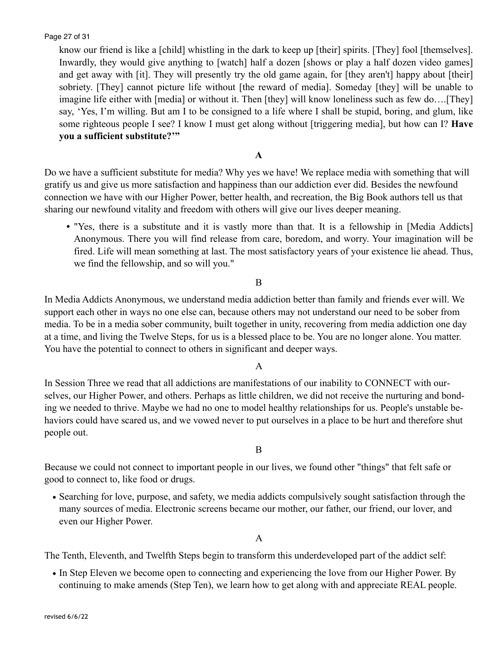know our friend is like a [child] whistling in the dark to keep up [their] spirits. [They] fool [themselves]. Inwardly, they would give anything to [watch] half a dozen [shows or play a half dozen video games] and get away with [it]. They will presently try the old game again, for [they aren't] happy about [their] sobriety. [They] cannot picture life without [the reward of media]. Someday [they] will be unable to imagine life either with [media] or without it. Then [they] will know loneliness such as few do….[They] say, 'Yes, I'm willing. But am I to be consigned to a life where I shall be stupid, boring, and glum, like some righteous people I see? I know I must get along without [triggering media], but how can I? **Have you a sufficient substitute?'"**

## **A**

Do we have a sufficient substitute for media? Why yes we have! We replace media with something that will gratify us and give us more satisfaction and happiness than our addiction ever did. Besides the newfound connection we have with our Higher Power, better health, and recreation, the Big Book authors tell us that sharing our newfound vitality and freedom with others will give our lives deeper meaning.

**•** "Yes, there is a substitute and it is vastly more than that. It is a fellowship in [Media Addicts] Anonymous. There you will find release from care, boredom, and worry. Your imagination will be fired. Life will mean something at last. The most satisfactory years of your existence lie ahead. Thus, we find the fellowship, and so will you."

#### B

In Media Addicts Anonymous, we understand media addiction better than family and friends ever will. We support each other in ways no one else can, because others may not understand our need to be sober from media. To be in a media sober community, built together in unity, recovering from media addiction one day at a time, and living the Twelve Steps, for us is a blessed place to be. You are no longer alone. You matter. You have the potential to connect to others in significant and deeper ways.

# A

In Session Three we read that all addictions are manifestations of our inability to CONNECT with ourselves, our Higher Power, and others. Perhaps as little children, we did not receive the nurturing and bonding we needed to thrive. Maybe we had no one to model healthy relationships for us. People's unstable behaviors could have scared us, and we vowed never to put ourselves in a place to be hurt and therefore shut people out.

#### B

Because we could not connect to important people in our lives, we found other "things" that felt safe or good to connect to, like food or drugs.

• Searching for love, purpose, and safety, we media addicts compulsively sought satisfaction through the many sources of media. Electronic screens became our mother, our father, our friend, our lover, and even our Higher Power.

# A

The Tenth, Eleventh, and Twelfth Steps begin to transform this underdeveloped part of the addict self:

• In Step Eleven we become open to connecting and experiencing the love from our Higher Power. By continuing to make amends (Step Ten), we learn how to get along with and appreciate REAL people.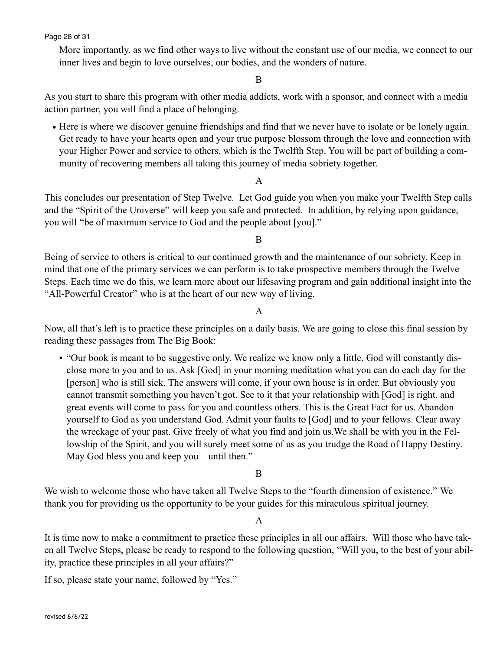Page 28 of 31

More importantly, as we find other ways to live without the constant use of our media, we connect to our inner lives and begin to love ourselves, our bodies, and the wonders of nature.

B

As you start to share this program with other media addicts, work with a sponsor, and connect with a media action partner, you will find a place of belonging.

• Here is where we discover genuine friendships and find that we never have to isolate or be lonely again. Get ready to have your hearts open and your true purpose blossom through the love and connection with your Higher Power and service to others, which is the Twelfth Step. You will be part of building a community of recovering members all taking this journey of media sobriety together.

# A

This concludes our presentation of Step Twelve. Let God guide you when you make your Twelfth Step calls and the "Spirit of the Universe" will keep you safe and protected. In addition, by relying upon guidance, you will "be of maximum service to God and the people about [you]."

B

Being of service to others is critical to our continued growth and the maintenance of our sobriety. Keep in mind that one of the primary services we can perform is to take prospective members through the Twelve Steps. Each time we do this, we learn more about our lifesaving program and gain additional insight into the "All-Powerful Creator" who is at the heart of our new way of living.

A

Now, all that's left is to practice these principles on a daily basis. We are going to close this final session by reading these passages from The Big Book:

• "Our book is meant to be suggestive only. We realize we know only a little. God will constantly disclose more to you and to us. Ask [God] in your morning meditation what you can do each day for the [person] who is still sick. The answers will come, if your own house is in order. But obviously you cannot transmit something you haven't got. See to it that your relationship with [God] is right, and great events will come to pass for you and countless others. This is the Great Fact for us. Abandon yourself to God as you understand God. Admit your faults to [God] and to your fellows. Clear away the wreckage of your past. Give freely of what you find and join us.We shall be with you in the Fellowship of the Spirit, and you will surely meet some of us as you trudge the Road of Happy Destiny. May God bless you and keep you—until then."

B

We wish to welcome those who have taken all Twelve Steps to the "fourth dimension of existence." We thank you for providing us the opportunity to be your guides for this miraculous spiritual journey.

# A

It is time now to make a commitment to practice these principles in all our affairs. Will those who have taken all Twelve Steps, please be ready to respond to the following question, "Will you, to the best of your ability, practice these principles in all your affairs?"

If so, please state your name, followed by "Yes."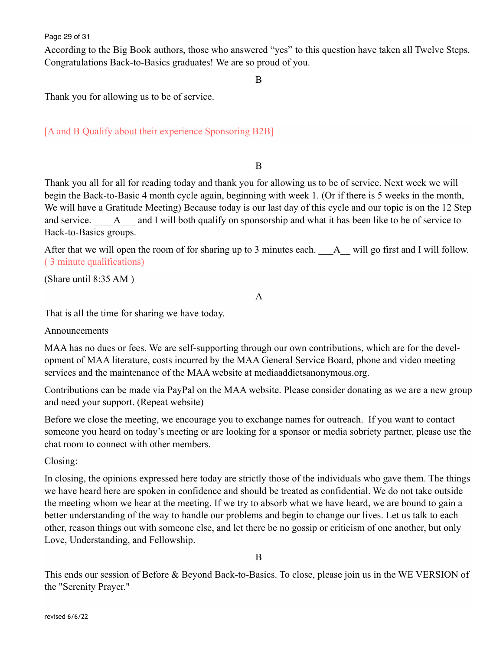Page 29 of 31

According to the Big Book authors, those who answered "yes" to this question have taken all Twelve Steps. Congratulations Back-to-Basics graduates! We are so proud of you.

B

Thank you for allowing us to be of service.

[A and B Qualify about their experience Sponsoring B2B]

B

Thank you all for all for reading today and thank you for allowing us to be of service. Next week we will begin the Back-to-Basic 4 month cycle again, beginning with week 1. (Or if there is 5 weeks in the month, We will have a Gratitude Meeting) Because today is our last day of this cycle and our topic is on the 12 Step and service. A and I will both qualify on sponsorship and what it has been like to be of service to Back-to-Basics groups.

After that we will open the room of for sharing up to 3 minutes each. A will go first and I will follow. ( 3 minute qualifications)

(Share until 8:35 AM )

A

That is all the time for sharing we have today.

Announcements

MAA has no dues or fees. We are self-supporting through our own contributions, which are for the development of MAA literature, costs incurred by the MAA General Service Board, phone and video meeting services and the maintenance of the MAA website at mediaaddictsanonymous.org.

Contributions can be made via PayPal on the MAA website. Please consider donating as we are a new group and need your support. (Repeat website)

Before we close the meeting, we encourage you to exchange names for outreach. If you want to contact someone you heard on today's meeting or are looking for a sponsor or media sobriety partner, please use the chat room to connect with other members.

Closing:

In closing, the opinions expressed here today are strictly those of the individuals who gave them. The things we have heard here are spoken in confidence and should be treated as confidential. We do not take outside the meeting whom we hear at the meeting. If we try to absorb what we have heard, we are bound to gain a better understanding of the way to handle our problems and begin to change our lives. Let us talk to each other, reason things out with someone else, and let there be no gossip or criticism of one another, but only Love, Understanding, and Fellowship.

B

This ends our session of Before & Beyond Back-to-Basics. To close, please join us in the WE VERSION of the "Serenity Prayer."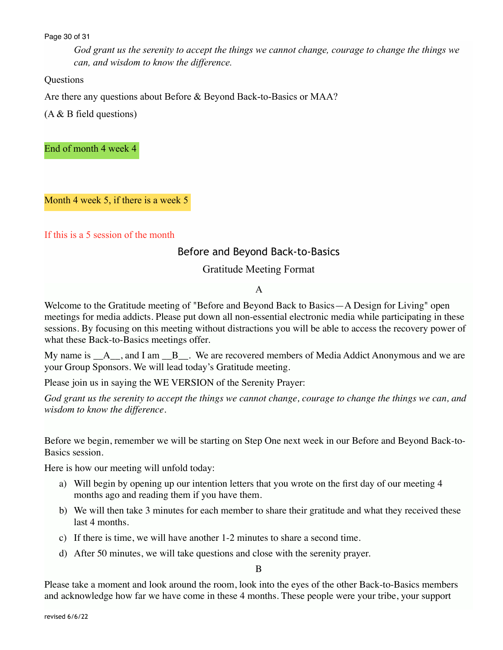Page 30 of 31

*God grant us the serenity to accept the things we cannot change, courage to change the things we can, and wisdom to know the difference.* 

Questions

Are there any questions about Before & Beyond Back-to-Basics or MAA?

(A & B field questions)

End of month 4 week 4

Month 4 week 5, if there is a week 5

If this is a 5 session of the month

# Before and Beyond Back-to-Basics

Gratitude Meeting Format

# A

Welcome to the Gratitude meeting of "Before and Beyond Back to Basics—A Design for Living" open meetings for media addicts. Please put down all non-essential electronic media while participating in these sessions. By focusing on this meeting without distractions you will be able to access the recovery power of what these Back-to-Basics meetings offer.

My name is  $_A_1$ , and I am  $_B_2$ . We are recovered members of Media Addict Anonymous and we are your Group Sponsors. We will lead today's Gratitude meeting.

Please join us in saying the WE VERSION of the Serenity Prayer:

*God grant us the serenity to accept the things we cannot change, courage to change the things we can, and wisdom to know the difference.* 

Before we begin, remember we will be starting on Step One next week in our Before and Beyond Back-to-Basics session. 

Here is how our meeting will unfold today:

- a) Will begin by opening up our intention letters that you wrote on the first day of our meeting 4 months ago and reading them if you have them.
- b) We will then take 3 minutes for each member to share their gratitude and what they received these last 4 months.
- c) If there is time, we will have another 1-2 minutes to share a second time.
- d) After 50 minutes, we will take questions and close with the serenity prayer.

B

Please take a moment and look around the room, look into the eyes of the other Back-to-Basics members and acknowledge how far we have come in these 4 months. These people were your tribe, your support